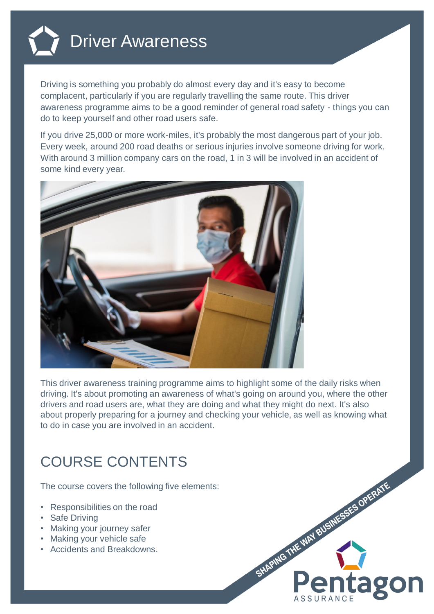

Driving is something you probably do almost every day and it's easy to become complacent, particularly if you are regularly travelling the same route. This driver awareness programme aims to be a good reminder of general road safety - things you can do to keep yourself and other road users safe.

If you drive 25,000 or more work-miles, it's probably the most dangerous part of your job. Every week, around 200 road deaths or serious injuries involve someone driving for work. With around 3 million company cars on the road, 1 in 3 will be involved in an accident of some kind every year.



This driver awareness training programme aims to highlight some of the daily risks when driving. It's about promoting an awareness of what's going on around you, where the other drivers and road users are, what they are doing and what they might do next. It's also about properly preparing for a journey and checking your vehicle, as well as knowing what to do in case you are involved in an accident.

## COURSE CONTENTS

The course covers the following five elements:

- Responsibilities on the road
- Safe Driving
- Making your journey safer
- Making your vehicle safe
- Accidents and Breakdowns.